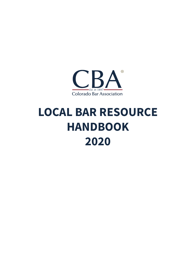

# **LOCAL BAR RESOURCE HANDBOOK 2020**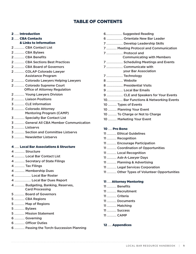# TABLE OF CONTENTS

#### ...... Introduction

#### ...... CBA Contacts

# & Links to Information

- ............. CBA Contact List
- ............. CBA Bylaws
- ............. CBA Benefits
- ............. CBA Sections Best Practices
- ............. CBA Board of Governors
- ............. COLAP Colorado Lawyer Assistance Program
- ............. Colorado Lawyers Helping Lawyers
- ............. Colorado Supreme Court Office of Attorney Regulation
- ............. Young Lawyers Division
- ............. Liaison Positions
- ............. CLE Information
- ............. Colorado Attorney Mentoring Program (CAMP)
- ............. Specialty Bar Contact List
- ............. General All CBA Member Communication
- ............. Listservs
- ............. Section and Committee Listservs
- ............. Newsletter Listservs

# ...... Local Bar Associations & Structure

- ............. Structure
- ............. Local Bar Contact List
- ............. Secretary of State Filings
- ............. Tax Filings
- ............. Membership Dues
- ..................... Local Bar Roster
- ..................... Local Bar Dues Report
- ............. Budgeting, Banking, Reserves, Card Processing
- ............. Board of Governors
- ............. CBA Regions
- ............. Map of Regions
- ............. Bylaws
- ............. Mission Statement
- ............. Governing
- ............. Officer Duties
- ............. Passing the Torch-Succession Planning

..................... Suggested Reading ..................... Orientate New Bar Leader ..................... Develop Leadership Skills ............. Meeting Protocol and Communication ..................... Protocol and Communicating with Members ..................... Scheduling Meetings and Events ..................... Communicate with your Bar Association ..................... Technology ..................... Website ..................... Presidential Visits ..................... Local Bar Emails ..................... CLE and Speakers for Your Events .................... Bar Functions & Networking Events ........... Types of Events ........... Planning Your Event ........... To Charge or Not to Charge ........... Marketing Your Event

# ..... Pro Bono

............ Ethical Guidelines ............ Recognition ............ Encourage Participation ............ Coordination of Opportunities ............ Local Recognition ............ Ask-A-Lawyer Days ............ Planning & Advertising ............ Legal Services Corporation ............ Other Types of Volunteer Opportunities

# ..... Attorney Mentoring

- ............ Benefits ............ Recruitment ............ Criteria
- ............ Documents
- ............ Matching
- ............ Success
- ............ CAMP

# ..... Appendices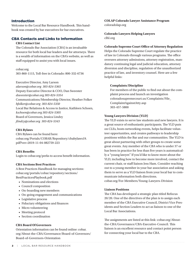# **Introduction**

Welcome to the Local Bar Resource Handbook. This handbook was created by bar executives for bar executives.

# CBA Contacts and Links to Information

#### **CBA Contact List**

The Colorado Bar Association (CBA) is an invaluable resource for both local bar leaders and for attorneys. There is a wealth of information on the CBA's website, as well as staff equipped to assist you with local issues.

cobar.org

303-860-1115, Toll-free in Colorado: 800-332-6736

Executive Director, Amy Larson *alarson@cobar.org 303-824-5365* Deputy Executive Director & COO, Dan Sweester *dsweester@cobar.org 303-824-5354* Communications/Membership Director, Heather Folker *hfolker@cobar.org 303-824-5350*  Local Bar Relations & Access to Justice, Kathleen Schoen, *kschoen@cobar.org 303-824-5305* Board of Governors, Jessica Lindzy *jlindzy@cobar.org 303-824-5343*

# **CBA Bylaws**

CBA Bylaws can be found here: cobar.org/Portals/COBAR/Repository/cbabylaws19. pdf?ver=2019-11-04-082759-223

#### **CBA Benefits**

Login to cobar.org/perks to access benefit information.

# **CBA Sections Best Practices**

A Best Practices Handbook for managing sections: cobar.org/portals/cobar/repository/sections/ BestPracticesPlaybook.pdf

- Nominations and elections
- Council composition
- On-boarding new members
- On-going engagement and communications
- Legislative process
- Fiduciary obligations and finances
- Micro volunteering
- Meeting protocol
- Section coordination

# **CBA Board Of Governors**

Orientation information can be found online: cobar. org/About-the-CBA/Governance/Board-of-Governors/ Board-of-Governors-Orientation

**COLAP Colorado Lawyer Assistance Program**  coloradolap.org

**Colorado Lawyers Helping Lawyers** clhl.org

#### **Colorado Supreme Court Office of Attorney Regulation**

Helps the Colorado Supreme Court regulate the practice of law in Colorado through various programs. The office oversees attorney admissions, attorney registration, mandatory continuing legal and judicial education, attorney diversion and discipline, regulation of the unauthorized practice of law, and inventory counsel. Here are a few helpful links:

#### **Complaints/Discipline**

For members of the public to find out about the complaint process and launch an investigation coloradosupremecourt.us/Complaints/File\_ ComplaintAgainstAtty.asp 303-457-5800

#### **Young Lawyers Division (YLD)**

The YLD exists to serve law students and new lawyers. It is a great source of enthusiastic participants. The YLD puts on CLEs, hosts networking events, helps facilitate volunteer opportunities, and creates pathways to leadership positions within the Bar and our communities. The YLD is great about partnering with other groups to create some great events. Any member of the CBA who is under 37 or has been in practice for less than five years is automatically a "young lawyer." If you'd like to know more about the YLD, including how to become more involved, contact the current chair, or staff liaison Jess Ham. Consider reaching out to a young member in your bar association and asking them to serve as a YLD liaison from your local bar to communicate information both directions. cobar.org/For-Members/Young-Lawyers-Division

# **Liaison Positions**

The CBA has developed a strategic plan titled Refocus 20/20. One of the directives of the plan is to assign each member of the CBA Executive Council, District Vice Presidents and Section Leaders to act as liaison to one of the Local Bar Associations.

The assignments are listed at this link: cobar.org/Aboutthe-CBA/Governance/CBA-Executive-Council. This liaison is an excellent resource and contact point person for connecting your local bar to the CBA.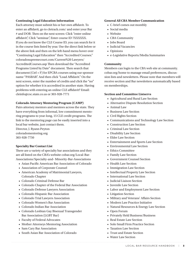## **Continuing Legal Education Information**

Each attorney must submit his or her own affidavit. To enter an affidavit, go to cletrack.com/ and enter your Bar # and DOB. Then on the next screen: Click "enter online affidavit", Click "seminar", Enter course ID 7XXXXXX. If you do not know the CLE Course ID, you can search for it in the course lists listed by year. Use the direct link below or the above link and then on the left-hand menu hover over "Continuing Legal Education" then "Accredited Courses." coloradosupremecourt.com/Current%20 Lawyers/ AccreditedCourses.asp Then download the "Accredited Programs Listed by Date" document. Then search that document (Ctrl + F) for EPCBA courses using our sponsor name "PASBAR". And then click "Load Affidavit." On the next screen, enter the number of credits and click the "no" option for whether it is accredited in another state. Having problems with entering an online CLE affidavit? Email: cleinfo@csc.state.co.us or 303-928-7771

# **Colorado Attorney Mentoring Program (CAMP)**

Pairs attorney mentors and mentees across the state. They have everything from informal, low commitment mentoring programs to year-long, 15 CLE credit programs. The link to the mentoring page can be easily inserted into a local bar website, just contact them.

Director, J. Ryann Peyton coloradomentoring.org 303-928-7750

#### **Specialty Bar Contact List**

There are a variety of specialty bar associations and they are all listed on the CBA's website cobar.org/Local-Bar-Associations/Specialty-and- Minority-Bar-Associations

- Asian Pacific American Bar Association of Colorado
- Association of Corporate Counsel
- American Academy of Matrimonial Lawyers, Colorado Chapter
- Colorado Criminal Defense Bar
- Colorado Chapter of the Federal Bar Association
- Colorado Defense Lawyers Association
- Colorado Hispanic Bar Association
- Colorado Trial Lawyers Association
- Colorado Women's Bar Association
- Colorado Indian Bar Association
- Colorado Lesbian Gay Bisexual Transgender Bar Association (LGBT Bar)
- Faculty of Federal Advocates
- Mother Attorneys Mentoring Association
- Sam Cary Bar Association
- South Asian Bar Association of Colorado

#### **General All CBA Member Communication**

- C-brief comes out monthly
- Social media
- Website
- CBA Community
- Jobs Board
- Judicial Vacancies
- Opinions
- e-Legislative Reports/Media Summaries

#### **Community**

Members can login to the CBA web site at community. cobar.org/home to manage email preferences, discussion lists and newsletters. Please note that members will receive section and Bar newsletters automatically based on memberships.

# **Section and Committee Listservs**

- Agricultural and Rural Law Section
- Alternative Dispute Resolution Section
- Animal Law
- Business Law Section
- Civil Rights Section
- Communications and Technology Law Section
- Construction Law Section
- Criminal Law Section
- Disability Law Section
- Elder Law Section
- Entertainment and Sports Law Section
- Environmental Law Section
- Ethics Committee
- Family Law Section
- Government Counsel Section
- Health Law Section
- Immigration Law Section
- Intellectual Property Law Section
- International Law Section
- Judicial Liaison Section
- Juvenile Law Section
- Labor and Employment Law Section
- Litigation Section
- Military and Veterans' Affairs Section
- Modern Law Practice Initiative
- Natural Resources & Energy Law Section
- Open Forum
- Privately Held Business/Business
- Real Estate Law Section
- Solo Small Firm Practice Section
- Taxation Law Section
- Trust and Estate Section
- Water Law Section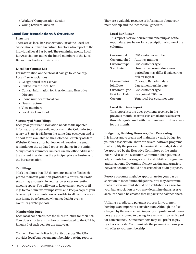- Workers' Compensation Section
- Young Lawyers Division

# Local Bar Associations & Structure

# **Structure**

There are 26 local bar associations. Six of the Local Bar Associations utilize Executive Directors who report to the individual Local Bar board. The remaining twenty Local Bar Associations utilize the board members of the Local Bar as their leadership structure.

# **Local Bar Contact List**

For information on the 26 local bars go to: cobar.org/ Local-Bar-Associations

- Geographical areas served
- Link to join the local bar
- Contact information for President and Executive Director
- Phone number for local bar
- Dues structure
- View members
- Local Bar Handbook

# **Secretary of State Filings**

Each year, your Bar Association needs to file updated information and periodic reports with the Colorado Secretary of State. It will be on the same date each year and is a short form available on the Colorado Secretary of State Website. Often a prior bar leader will receive the email reminder for the updated report or change in the entity. Many smaller volunteer run bars use the office address of the current President as the principal place of business for the bar association.

# **Tax Filings**

Mark deadlines that IRS documents must be filed each year to maintain your non-profit Status. Your Non-Profit status may also assist in getting lower rates on renting meeting space. You will want to keep current on your filings to maintain tax-exempt status and keep a copy of your tax-exempt documentation accessible to all bar officers so that it may be referenced when needed for events. Go to: irs.gov/help/tools

# **Membership Dues**

Each local bar determines the dues structure for their bar. Your dues structure must be communicated to the CBA by January 1 of each year for the next year.

Contact: Heather Folker hfolker@cobar.org The CBA provides local bars several membership tracking reports. They are a valuable resource of information about your membership and the income you generate.

# **Local Bar Roster**

This report lists your current membership as of the report date. See below for a description of some of the columns.

| Customercd             | CBA customer number                   |
|------------------------|---------------------------------------|
| Customeraltcd          | Attorney number                       |
| Customertype           | CBA customer type                     |
| <b>Start Date</b>      | Usually the current dues term         |
|                        | period but may differ if paid earlier |
|                        | or later in year                      |
| License Date2          | Colorado Bar admit date               |
| Join Date              | Latest membership date                |
| Customer Type          | CBA customer type                     |
| <b>First Join Date</b> | First joined CBA Bar                  |
| Custom                 | Your local bar customer type          |

# **Local Bar Dues Report**

This report lists the dues payments received in the previous month. It arrives via email and is also sent through regular mail with the membership dues check for the month.

# **Budgeting, Banking, Reserves, Card Processing**

It is important to create and maintain a yearly budget for your bar association. There are several software programs that simplify the process. Determine if the budget should be approved by the Executive Committee or the entire board. Also, as the Executive Committee changes, make adjustments to checking account and debit card signature authorizations. Determine if check writing and transfers between accounts should be restricted for audit purposes.

Reserve accounts might be appropriate for your bar association to meet future obligations. You may determine that a reserve amount should be established as a goal for your bar association or you may determine that a reserve account should be created that impacts the balance sheet.

Utilizing a credit card payment process for your membership is an important consideration. Although the fees charged by the servicer will impact your profit, most members are accustomed to paying for events with a credit card for convenience. Some members may still prefer to pay by check or cash. Communicate the payment options you will offer to your membership.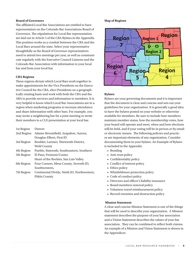# **Board of Governors**

The affiliated Local Bar Associations are entitled to have representation on the Colorado Bar Associations Board of Governors. The stipulations for Local Bar representation are laid out in Article 5 of the CBA Bylaws in the Appendix. This position works as a conduit between the CBA and the Local Bars around the state. Select your representative thoughtfully as the Board of Governor representatives need to attend two meetings per year, as well as communicate regularly with the Executive Council Liaisons and the Colorado Bar Association with information to your local bar and from your local bar.

#### **CBA Regions**

These regions dictate which Local Bars work together to make appointments for the Vice Presidents on the Executive Council for the CBA, elect Presidents on a geographically rotating basis and work with both the CBA and the ABA to provide services and information to members. It is very helpful to know which Local Bar Associations are in a region when marketing programs to increase attendance and share information with other bars. For example, you may invite a neighboring bar for a joint meeting or invite their members to a CLE presentation at your local bar.

| 1st Region | Denver                                      |
|------------|---------------------------------------------|
| 2nd Region | Adams-Broomfield, Arapahoe, Aurora,         |
|            | Douglas-Elbert, First JD                    |
| 3rd Region | Boulder, Larimer, Thirteenth District,      |
|            | Weld County                                 |
| 4th Region | Pueblo, Sixteenth, Southeastern, Southern   |
| 5th Region | El Paso, Fremont/Custer,                    |
|            | Heart of the Rockies, San Luis Valley       |
| 6th Region | Four Corners, Mesa County, Seventh JD,      |
|            | Southwestern.                               |
| 7th Region | Centinental Divide, Ninth JD, Northwestern, |
|            | Pitkin County                               |

#### **Map of Regions**



#### **Bylaws**

Bylaws are your governing documents and it is important that the document is clear and concise and sets out your guidelines for your organization. It is generally a good idea to have the bylaws posted on your website or otherwise available for members. Be sure to include how members maintain member status, how the membership votes, how your board will operate and meet, when and how elections will be held, and if your voting will be in person or by email or electronic means. The following policies and practices are important elements of any organization. Consider documenting them in your bylaws. An Example of Bylaws is included in the Appendix.

- Bonding
- Anti-trust policy
- Confidentiality policy
- Conflict of interest policy
- Ethics policy
- Whistleblower protection policy
- Code of conduct policy
- Directors and officer's liability insurance
- Board members removal policy
- Volunteer travel reimbursement policy
- Record retention and destruction policy

#### **Mission Statement**

A clear and concise Mission Statement is one of the things that will be used to describe your organization. A Mission statement describes the purpose of your bar association and a Vision Statement describes the values of your bar association. They can be combined to reflect both visions. An example of a Mission and Vision Statement is shown in the Appendices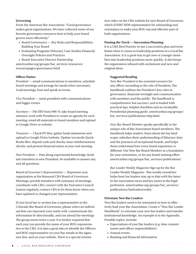# **Governing**

From the American Bar Association: "Good governance makes great organizations. We have collected some of our favorite governance resources here to help your board govern more effectively."

- Board Governance Key Roles and Responsibilities Building Your Board
- Evaluating Programs Fiduciary Case Studies Financial Oversight Policies and Practices

• Board-Executive Director Partnership americanbar.org/groups/bar\_services/resources/ resourcepages/governance.html

# **Officer Duties**

*President* — email communications to members; schedule board meetings and arrange for meals when necessary; Lead meetings, host and speak at events.

*Vice President* — assist president with communications and bigger events.

*Secretary* — File IRS Form 990-N; take board meeting minutes; work with President to create an agenda for each meeting; email all materials to board members and upload to Google Drive or website.

*Treasurer* — Check PO Box; gather bank statements and upload to Google Drive/website. Update/reconcile Quick-Books files; deposit cash and checks, issue reimbursement checks; and present financial status at year-end meeting.

*Past President* — Pass along experiential knowledge; facilitate transition to new President; be available to answer any and all questions.

*Board of Governor's Representative* — Represent your organization at the biannual CBA Board of Governors Meetings; provide members with summary of meetings; coordinate with CBA; connect with the Executive Council Liaison regularly; contact CBA to let them know when you have updated or changed your representative.

If your local bar or section has a representative to the Colorado Bar Board of Governors, please select an individual that can represent your entity well, communicate the information bi-directionally, and can attend the meetings. The group meets twice a year. It is further required that each year you provide the name of your BOG representative to the CBA. It is also a great idea to identify the Officers and BOG representative on your Bar emails in the signature line, and on your website. There is a special orientation video on the CBA website for new Board of Governors which EVERY NEW representative for onboarding and orientation to make your BOG rep and effective part of both organizations.

# **Passing the Torch — Succession Planning**

It is a CBA Best Practice to use a succession plan and term limits when it comes to leadership positions in a Local Bar Association. It is a good way to get new or younger members into leadership positions more quickly. It also keeps the organization infused with excitement and new and original ideas.

# **Suggested Reading**

*New Bar President* is the essential resource for any officer ascending to the role of President. The handbook outlines the President's key roles in governance, financial oversight and communication with members and the public. The handbook is comprehensive but succinct, and is loaded with practical tips, helpful checklists and an invaluable Presidential planning guide. americanbar.org/groups/ bar\_services/publications/nbp.html

*New Bar Board Member* speaks specifically to the unique role of Bar Association board members. The handbook helps readers. learn about the bar landscape, refreshes their understanding of fiduciary duty and the practices of exceptional boards, and helps them understand how every board experience is different. Use New Bar Board Member as a foundation for your orientation, or for any board training effort. americanbar.org/groups/bar\_services/publications/

*Bar Leader Weekly Magazine* Sign up for the Bar Leader Weekly Magazine- This weekly newsletter helps busy bar leaders stay up to date with the latest in bar association news and key issues in the legal profession. americanbar.org/groups/bar\_services/ publications/barleaderweekly/

# **Orientate New Bar Leaders**

New Bar leaders need to be orientated on how to effectively lead your Bar Association. Create a "New Bar Leader Handbook" to orientate your new bar leaders and transfer institutional knowledge. An example is in the Appendix. Possible topics, include:

- Expectations of your Bar leaders (e.g. time commitments and officer responsibilities)
- Annual events
- Banking and financial information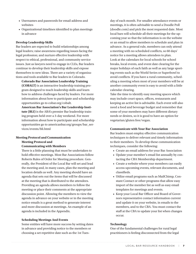- Usernames and passwords for email address and websites
- Organizational timelines identified to plan meetings in advance

#### **Develop Leadership Skills**

Bar leaders are expected to build relationships among legal leaders; raise awareness regarding issues facing the legal profession; and nurture effective leadership with respect to ethical, professional, and community service issues. Just as lawyers need to engage in CLEs, Bar leaders continue to develop their leadership skills and expose themselves to new ideas. There are a variety of organizations and tools available to Bar leaders in Colorado.

**Colorado Bar Association Leadership Training (COBALT)** is an interactive leadership training program designed to teach leadership skills and learn how to address challenges faced by leaders. For more information about how to participate and scholarship opportunities go to cobar.org/cobalt.

**American Bar Association's Bar Leadership Institute (BLI)** is the ABA's premier Bar leadership training program held over a 3-day weekend. For more information about how to participate and scholarship opportunities go to americanbar.org/groups/bar\_services/events/bli.html

# **Meeting Protocol and Communication Meeting Protocol and**

#### **Communicating with Members**

There is a little planning that must be undertaken to hold effective meetings. Most Bar Associations follow Roberts Rules of Order for Meeting procedure. Generally, the President of the Local Bar will set and lead the meeting and, in many cases, plan the meeting and location details as well. Any meeting should have an agenda that sets out the items that will be discussed at the meeting that is distributed to the attendees. Providing an agenda allows members to follow the meeting or place their comments at the appropriate discussion point. Allowing the members to view the agenda in advance on your website or in the meeting notice emails is a great method to generate interest and more discussion at meetings. An example of an agenda is included in the Appendix.

#### **Scheduling Meetings And Events**

Some entities will have more success by setting dates in advance and providing notice to the members or choosing a set repetitive date such as the 1st Tues-

day of each month. For smaller attendance events or meetings, it is often advisable to send a Doodle Poll (doodle.com) and pick the most requested date. Most local bars will schedule all their meetings for the upcoming year so that the information is on the website or an email to allow members to schedule and plan in advance. As a general rule, members can only attend a meeting with no scheduled conflicts, so 60 days' notice for a meeting allows attendees to plan. Look at the calendars for local schools for school breaks, local events, and event date clearing for the major holidays of each faith as well as any large sporting events such as the World Series or Superbowl to avoid conflicts. If you have a rural community, scheduling a meeting when most of your members will be at another community event is easy to avoid with a little calendar clearing.

Take the time to identify easy meeting spaces which may include court space, offices, restaurants and keeping an active list is advisable. Each event will also need a food and beverage budget and remember that some of your members may have different dietary needs or desires, so it is good to have an option for vegetarian/gluten free/vegan.

#### **Communicate with Your Bar Association**

Bar leaders must employ effective communication techniques to deliver relevant and timely information to their members. To develop these communication techniques, consider the following:

- Create an email address for your Bar Association
- Update your member's email list annually by contacting the CBA Membership department.
- Create a website where your members can easily access upcoming events, relevant documents, and classifieds.
- Utilize email programs such as MailChimp, Constant Contact or other programs that allow easy import of the member list as well as easy email templates for meetings and events.
- Keep your Local Bar Officer and Board of Governors representative contact information current and update it on your website, in emails to the members, and to the CBA. You must contact the staff at the CBA to update your list when changes occur.

#### **Technology**

One of the fundamental challenges for rural legal practitioners is feeling disconnected from the legal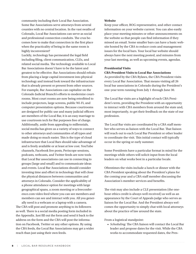community including their Local Bar Association. Some Bar Associations serve attorneys from several counties with no central location. In the vast swaths of Colorado, Local Bar Associations can serve as social and professional connection conduits. The crux becomes how to make that connection in the first place when the practicality of being in the same room is highly inconvenient?

Luckily, technology has permeated the legal field including filing, client communication, CLEs, and related social media. The technology available to Local Bar Associations doesn't have to be the latest and greatest to be effective. Bar Associations should refrain from placing a large capital investment into physical technology and instead look toward the infrastructure that is already present or present from other sources. For example, Bar Associations can capitalize on the Colorado Judicial Branch's efforts to modernize courtrooms. Most court rooms are now being retrofitted to include projectors, large screens, public Wi-Fi, and computer presentation options. Because courtrooms are designed for public use and many judicial officers are members of the Local Bar, it is an easy marriage to use courtroom tech for Bar purposes free of charge. Additionally, aside from appealing to millennials, social media has given us a variety of ways to connect to other attorneys and communities of all types and made doing so much easier. This is the type of cloud infrastructure that Local Bars should take advantage of and is freely available or at least at low cost. YouTube channels, Facebook live posts, Periscope sessions, podcasts, webcasts, and Twitter feeds are now tools that Local Bar associations can use in connecting to groups (large and small) and to communicate ideas and events. Local Bar Associations should consider investing time and effort in technology that will close the physical distances between communities and attorneys in Colorado. Consider the applicability of a phone attendance option for meetings with large geographical spans, a zoom meeting or a freeconference.com video feed where you can see members and members can see and interact with you. All you gener-

ally need is a webcam or a laptop with a camera. The CBA will post and promote anything to its followers as well. There is a social media posting form included in the Appendix. Just fill out the form and send it back to the address on the form and the CBA will post the information on Facebook, Twitter or any other options. By using the CBA feeds, the Local Bar Associations may get a wider reach than just using their own feeds.

#### **Website**

Keep your officer, BOG representative, and other contact information on your website current. You can also easily place your meeting minutes or other announcements on the website so that people can find information if they missed an email. Some smaller bars can have a basic website hosted by the CBA to reduce costs and management issues for the local bars. Your local bar website should always have the next meeting posted, and minutes from your last meeting, as well as upcoming events, agendas.

# **Presidential Visits**

#### **CBA President Visits to Local Bar Associations**

As provided by the CBA Bylaws, the CBA President visits every Local Bar Association. That means visiting all 26 local bar associations in Colorado during the President's one-year term running from July 1 through June 30.

The Local Bar visits are a highlight of each CBA President's term, providing the President with an opportunity to interact with CBA members from around the state and, most importantly, to get their feedback on the state of our profession.

The Local Bar visits are coordinated by a CBA staff member who serves as liaison with the Local Bar. That liaison will reach out to each Local Bar President or other leader to coordinate the visit. This initial contact will typically occur in the spring or early summer.

Some Presidents have a particular format in mind for the meetings while others will solicit input from the local leaders on what works best in a particular locale.

Oftentimes the visits include a lunch or dinner with the CBA President speaking about the President's plans for the coming year and a CBA staff member discussing the Association's member services and benefits.

The visit may also include a CLE presentation (the onehour ethics credit is always well received) as well as an appearance by the Court of Appeals judge who serves as liaison for the Local Bar. And the President always welcomes the opportunity to simply chat with local attorneys about the practice of law around the state.

From a logistical standpoint:

*• Scheduling:* The CBA liaison will contact the Local Bar leader and propose dates for the visit. While the CBA works to accommodate requested dates, the Pres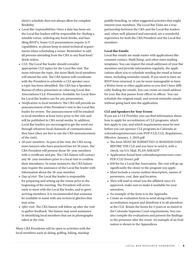ident's schedule does not always allow for complete flexibility.

- *• Local Bar responsibilities:* Once a date has been set, the Local Bar leaders will be responsible for: finding a suitable venue, ordering any food/drinks, and handling RSVP's. Some CLE presentations require A/V capabilities, so please keep in mind technical requirements when scheduling a venue. Remember to add all persons attending from the CBA to any final food/ drink orders.
- *• CLE:* The Local Bar leader should consider appropriate CLE topics for the Local Bar visit. The more relevant the topic, the more likely local members will attend the visit. The CBA liaison will coordinate with the President to schedule a CLE speaker once a topic has been identified. The CBA has a Speakers Bureau of ethics presenters at cobar.org/Local-Bar-Associations/CLE-Presenters-Available-for-Local-Bars for Local Bar leaders use for any presentation.
- *• Notification to local members:* The CBA will provide an announcement of the President's visit to the Local Bar leader for review. The announcement will be emailed to local members at least twice prior to the visit and will be published in CBA social media. In addition, Local Bar leaders are encouraged to get the word out through whatever local channels of communication they have (they are free to use the CBA announcement of the visit).
- *• 50-year members:* As part of the visit, the CBA recognizes lawyers who have practiced law for 50 years. The CBA President will present those 50- year members with a certificate and pin. The CBA liaison will contact any 50- year members prior to a local visit to confirm their attendance. In some instances, the CBA liaison may require the assistance of the Local Bar leader with information about the 50-year member.
- *• Day of visit:* The Local Bar leader is responsible for preparing and setting up the venue prior to the beginning of the meeting. The President will arrive early to meet with the Local Bar leader, and to greet arriving members. It is recommended that someone be available to assist with any technical glitches that may arise.
- *• After visit:* The CBA liaison will follow up after the visit to gather feedback. The liaison may need assistance in identifying local members that are in photographs taken at the visit.

Many CBA Presidents will be open to activities with the local members such as skiing, golfing, hiking, standup

paddle boarding, or other suggested activities that might interest your members. The Local Bar Visits are a true partnership between the CBA and the Local Bar leaders and, when well-planned and executed, are a wonderful experience for both the CBA President and the Local Bar members

# **Local Bar Emails**

Local Bar emails are made easier with applications like constant contact, MailChimp, and other mass mailing templates. You can import the email addresses of your Bar members and provide information regularly, the applications allow you to schedule sending the email at future times, including reminder emails. If you need to have an RSVP form returned, it can be more manageable to have a Wufoo form or other application so you don't have difficulty finding the emails. You can create an email address for your Bar that passes from officer to officer. You can schedule the original email, and several reminder emails without going back into the application.

# **CLE and Speakers for Your Events**

If you are a CLE Provider, you can find information about how to apply for accreditation of CLE programs, which fees apply to you, and which requirements must be met before you can sponsor CLE programs in Colorado at: coloradosupremecourt.com/PDF/CLE/CLE\_Regulations\_ Effective January 1 2019.pdf

- The form MUST BE SUBMITTED 21 BUSINESS DAYS BEFORE THE CLE and you have to send it, with a check, via U.S. Mail. PLAN AHEAD!!!
- Application found here coloradosupremecourt.com/ PDF/CLE/Form1.pdf
- \$50 fee for a Local Bar Association. The cost will go up significantly the closer to the program you apply.
- Must include a course outline/description, names of presenters, cost, date and location.
- They will mail or email you the affidavit once it's approved, make sure to make it available for your attendees.
- An example of the form is in the Appendix.
- Create an evaluation form to send along with your accreditation request and distribute it to all attendees at the CLE. Retain the forms for 2 years or as stated in the Colorado Supreme Court requirements. You can also compile the evaluations and present the findings to the presenter after the event. An example of an Evaluation is shown in the Appendices.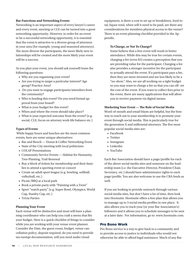#### **Bar Functions and Networking Events**

Networking is an important aspect of every lawyer's career and every event, meeting or CLE can be turned into a great networking opportunity. However, in order for an event to be a successful networking opportunity, it is essential that the event is attractive to a diverse group of attorneys in your area (for example, young and seasoned attorneys). The more diverse the participants, the more likely new relationships will be created and the more likely your event will be a success.

As you plan your event, you should ask yourself/team the following questions:

- Why are you organizing your event?
- Are you trying to target a particular interest? Age group? Practice Area?
- Do you want to engage participants/attendees from the community?
- Who is funding this event? Do you need formal approval from your board?
- What is your budget for this event?
- When and where the event should take place?
- What is your expected outcome from the event? (e.g. social, CLE, focus on attorney work-life balance etc.)

# **Types of Events**

 While happy hours and lunches are the most common events, here are some unique alternatives:

- Bar and Bench Donut & Coffee Networking Event
- State of the City meeting with local politicians
- COLAP Presentations
- Community Service Events Habitat for Humanity, Tree Planting, Trail Renewal
- Buy a block of tickets for membership and their families to attend a sporting event or concert
- Create an adult sport league (e.g. bowling, softball, volleyball, etc.)
- Picnic/BBQ at a local park
- Book a private party with "Painting with a Twist"
- Sport "watch party" (e.g. Super Bowl, Olympics, World Cup, Stanley Cup, etc.)
- Trivia Parties

# **Planning Your Event**

Each venue will be distinctive and most will have a planning coordinator who can help you craft a menu that fits your budget. Here is a quick checklist of things to consider while you are working with your venue event planner. Consider the Date, the guest count, budget, venue cancellation policy, deposit required, do you need to provide tax exempt documentation, will you need audio visual

equipment, is there a cost to set up or breakdown, food total, liquor total, when will it need to be paid, are there any considerations for members physical access to the venue? There is an event planning checklist provided in the Appendix.

# **To Charge, or Not To Charge?**

Some believe that a free event will result in better attendance. While this may be true for certain events, charging a fee (even \$5) creates a perception that you are providing value for the participant. Charging a fee also provides a stronger incentive for the participant to actually attend the event. If a participant pays a fee, then they are more invested and are less likely to be a "no-show." Also, we are all working on a tight budget so you may want to charge a fee so that you can off- set the cost of the event. If you want to collect fees prior to the event, there are many applications that will allow you to receive payment via digital means.

# **Marketing Your Event — The Role of Social Media**

Word-of-mouth and email blasts are helpful, but the best way to reach out to your membership is to promote your event through social media. This is particularly true for the generation X and millennial attorneys. The five most popular social media sites are:

- Facebook
- Twitter
- Instagram
- Linkedin
- YouTube

Each Bar Association should have a page/profile for each of the above social media sites and someone on the leadership team (i.e. the Executive Director, President/Chair, Secretary, etc.) should have administrator rights to each page/profile. You are also welcome to use the CBA feeds as well.

If you are looking to provide outreach through various social media sites, but don't have a lot of time, then look into Hootsuite. Hootsuite offers a free plan that allows you to manage up to 3 social media profiles in one place. It also allows you to track your (or your Bar Association's) followers and it allows you to schedule messages to be sent at a later date. For information, go to: www.hootsuite.com.

# Pro Bono Work

Pro Bono service is a way to give back to a community and to provide access to justice to individuals who would not otherwise be able to afford legal assistance. Much of any Bar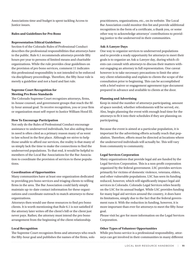Associations time and budget is spent tackling Access to Justice issues.

# **Rules and Guidelines for Pro Bono**

# **Representation Ethical Guidelines**

Section 6 of the Colorado Rules of Professional Conduct describes the professional responsibilities that attorneys have to the public. Rule 6.1 recommends attorneys provide fifty hours per year to persons of limited means and charitable organizations. While the rule provides clear guidelines on the provision of pro bono services, comment 11 indicates this professional responsibility is not intended to be enforced via disciplinary proceedings. Therefore, the fifty-hour rule is merely a guideline and not a hard and fast rule.

# **Supreme Court Recognition for Meeting Pro Bono Standards**

The Colorado Supreme Court recognizes attorneys, firms, in-house counsel, and government groups that reach the fifty-hour annual goal. To receive recognition, you or your firm or organization must self-report to Justice William Hood III.

# **How To Encourage Participation**

Not only do the Rules of Professional Conduct encourage assistance to underserved individuals, but also aiding those in need is often cited as a primary reason many of us went to law school in the first place. Although we strive to help those unable to afford our services, the reality is that many of us simply lack the time to make the connections to find the underserved populations. To that end, it would be helpful to members of the Local Bar Associations for the Bar Association to coordinate the provision of services to these populations.

# **Coordination of Opportunities**

Many communities have at least one organization dedicated to providing pro bono services and triaging clients to willing firms in the area. The Bar Association could fairly simply maintain up-to-date contact information for these organizations and coordinate outreach to match attorneys to these organizations.

Attorneys then would use these resources to find pro bono clients. It is worth mentioning that Rule 6.1 is not satisfied if the attorney later writes off the client's bill or the client just never pays. Rather, the attorney must intend the pro bono arrangement from the beginning of the client relationship.

# **Local Recognition**

The Supreme Court recognizes firms and attorneys who reach the fifty-hour goal and publishes the names of the firms, solo

practitioners, organizations, etc., on its website. The Local Bar Association could monitor this list and provide additional recognition in the form of a certificate, a thank you, or some other way to acknowledge attorneys' contributions to providing justice to the underserved in their communities.

# **Ask-A-Lawyer Days**

One way to organize services to underserved populations and to provide a ready opportunity for attorneys to meet their goals is to organize an Ask-a-Lawyer day, during which clients can consult with attorneys to discuss their matters without engaging an attorney in full representation. One caveat however is to take necessary precautions to limit the attorney-client relationship and explain to clients the scope of the consultation prior to beginning. This can be accomplished with a brief waiver or engagement agreement type document prepared in advance and available to clients at the door.

# **Planning and Advertising**

Keep in mind the number of attorneys participating, amount of space needed, whether refreshments will be served, etc. Also, begin planning the event with enough lead time for the attorneys to fit it into their schedules if they are planning on participating.

Because the event is aimed at a particular population, it is important for the advertising efforts actually reach that population. Therefore, efforts must be directed at locations where the underserved individuals will actually be. This will vary from community to community.

# **Legal Services Corporation**

Many organizations that provide legal aid are funded by the Legal Services Corporation. This is a non-profit corporation organized by the federal government. LSC provides services primarily for victims of domestic violence, veterans, elders, and other vulnerable populations. LSC has seen its funding reduced, however, which will significantly impact legal aid services in Colorado. Colorado Legal Services relies heavily on the LSC for its annual budget. While LSC provides funding for many legal aid services around the country, it does have its limitations, simply due to the fact that the federal government runs it. With the reduction in funding, however, it is more important than ever for attorneys to meet the fifty-hour goal.

Please visit lsc.gov for more information on the Legal Services Corporation.

# **Other Types of Volunteer Opportunities**

While pro bono service is a professional responsibility, attorneys can get involved in their communities in many different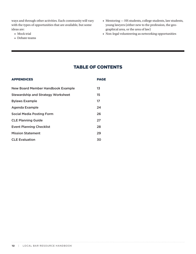ways and through other activities. Each community will vary with the types of opportunities that are available, but some ideas are:

- Mock trial
- Debate teams
- Mentoring HS students, college students, law students, young lawyers (either new to the profession, the geographical area, or the area of law)
- Non-legal volunteering as networking opportunities

# TABLE OF CONTENTS

| <b>APPENDICES</b>                         | PAGE |
|-------------------------------------------|------|
| New Board Member Handbook Example         | 13   |
| <b>Stewardship and Strategy Worksheet</b> | 15   |
| <b>Bylaws Example</b>                     | 17   |
| Agenda Example                            | 24   |
| <b>Social Media Posting Form</b>          | 26   |
| <b>CLE Planning Guide</b>                 | 27   |
| <b>Event Planning Checklist</b>           | 28   |
| <b>Mission Statement</b>                  | 29   |
| <b>CLE Evaluation</b>                     | 30   |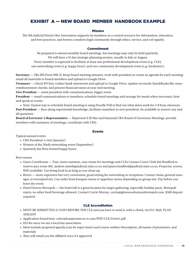# EXHIBIT A — NEW BOARD MEMBER HANDBOOK EXAMPLE

# Mission

The 9th Judicial District Bar Association supports its members as a central resource for information, education, and best practices, and fosters a modern legal community through ethics, service, and col/egiaiity.

#### Commitment

Be prepared to attend monthly board meetings, but meetings may only be held quarterly. We will have a Yi day strategic planning session, usually in July or August.

Every member is expected to facilitate at least one professional development event (e.g. CLE), one networking event (e.g. happy hour), and one community development event (e.g. fundraiser).

**Secretary** — File IRS Form 990-N; Keep board meeting minutes; work with president to create an agenda for each meeting; email all materials to board members and upload to Google Drive.

**Treasurer** — Check PO box; Gather bank statements and upload to Google Drive. update/reconcile QuickBooks file; issue reimbursement checks; and present financial status at year-end meeting.

**Vice President** — assist president with communications, bigger event.

**President** — email communications to members; schedule board meetings and arrange for meals when necessary; host and speak at events.

• Note: Easiest way to schedule board meeting is using Doodle Poll to find out what dates work for 5-8 busy attorneys. Past President — Pass along experiential knowledge; facilitate transition to new president; be available to answer any and all questions

**Board of Governor 's Representative** — Represent 9 JD Bar and biannual CBA Board of Governors Meetings; provide members with summary of meetings; coordinate with CBA;

# Events

Typical annual events

- CBA President 's visit (January)
- Women of the Ninth networking event (September)
- Quarterly law firm-hosted happy hours.

Best venues

- Garco Courthouse Free, most common, easy venue for meetings and CLEs Contact Court Clerk Jim Bradford to reserve jury room 402. andrew.streeb@judicial.state.co.us and james.bradford@judicial.state.co.us. Projector, screen, WiFi available. Can bring food in as long as you clean up.
- Rivers more expensive but very convenient, good setting for networking or receptions. Contact Anita, general manager, at rivers@rof.net. Can order from banquet menu or appetizer menu depending on group size. Pay before you leave the event.
- Hotel Denver/Brewpub the hotel loft is a great location for larger gathering, especially holiday party. Brewpub caters, no other food/beverage allowed. Contact Corrie Murray, corrie@glenwoodcanyonbrewpub.com. \$500 deposit required.

# CLE Accreditation

- MUST BE SUBMITTED 21 DAYS BEFORE THE CLE and you have to send it, with a check, via U.S. Mail. PLAN AHEAD!!!
- Application found here: coloradosupremecou rt.com/PDF/CLE/Form1.pdf
- \$25 fee since we are a local bar association.
- Must include proposed agenda (can be super basic) and course outline/description, all names of presenters, and materials
- They will email you the affidavit once it's approved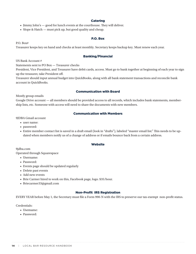# **Catering**

- Jimmy John's good for lunch events at the courthouse. They will deliver.
- Slope & Hatch must pick up, but good quality and cheap.

#### P.O. Box

P.O. Box#

Treasurer keeps key on hand and checks at least monthly. Secretary keeps backup key. Must renew each year.

# Banking/Financial

US Bank Account #

Statements sent to PO Box — Treasurer checks

President, Vice President, and Treasurer have debit cards, access. Must go to bank together at beginning of each year to sign up the treasurer, take President off.

Treasurer should input annual budget into QuickBooks, along with all bank statement transactions and reconcile bank account in QuickBooks.

#### Communication with Board

Mostly group emails

Google Drive account — all members should be provided access to all records, which includes bank statements, membership lists, etc. Someone with access will need to share the documents with new members.

# Communication with Members

9JDBA Gmail account

- user name:
- password:
- Entire member contact list is saved in a draft email (look in "drafts"), labeled "master email list." This needs to be updated when members notify us of a change of address or if emails bounce back from a certain address.

#### **Website**

9jdba.com

Operated through Squarespace

- Username:
- Password:
- Events page should be updated regularly
- Delete past events
- Add new events
- Brie Carmer hired to work on this, Facebook page, logo. \$35/hour.
- Briecarmer33@gmail.com

# Non-Profit IRS Registration

EVERY YEAR before May 1, the Secretary must file a Form 990-N with the IRS to preserve our tax-exempt non-profit status.

Credentials:

- Usemame:
- Password: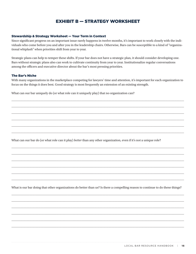# EXHIBIT B — STRATEGY WORKSHEET

# Stewardship & Strategy Worksheet — Your Term in Context

Since significant progress on an important issue rarely happens in twelve months, it's important to work closely with the individuals who come before you and after you in the leadership chairs. Otherwise, Bars can be susceptible to a kind of "organizational whiplash" when priorities shift from year to year.

Strategic plans can help to temper these shifts. If your bar does not have a strategic plan, it should consider developing one. Bars without strategic plans also can work to cultivate continuity from year to year. Institutionalize regular conversations among the officers and executive director about the bar's most pressing priorities.

# The Bar's Niche

With many organizations in the marketplace competing for lawyers' time and attention, it's important for each organization to focus on the things it does best. Good strategy is most frequently an extension of an existing strength.

\_\_\_\_\_\_\_\_\_\_\_\_\_\_\_\_\_\_\_\_\_\_\_\_\_\_\_\_\_\_\_\_\_\_\_\_\_\_\_\_\_\_\_\_\_\_\_\_\_\_\_\_\_\_\_\_\_\_\_\_\_\_\_\_\_\_\_\_\_\_\_\_\_\_\_\_\_\_\_\_\_\_\_\_\_\_\_\_\_\_\_\_\_\_\_\_\_\_\_\_\_\_\_\_\_\_\_\_\_\_\_\_\_\_

\_\_\_\_\_\_\_\_\_\_\_\_\_\_\_\_\_\_\_\_\_\_\_\_\_\_\_\_\_\_\_\_\_\_\_\_\_\_\_\_\_\_\_\_\_\_\_\_\_\_\_\_\_\_\_\_\_\_\_\_\_\_\_\_\_\_\_\_\_\_\_\_\_\_\_\_\_\_\_\_\_\_\_\_\_\_\_\_\_\_\_\_\_\_\_\_\_\_\_\_\_\_\_\_\_\_\_\_\_\_\_\_\_\_

\_\_\_\_\_\_\_\_\_\_\_\_\_\_\_\_\_\_\_\_\_\_\_\_\_\_\_\_\_\_\_\_\_\_\_\_\_\_\_\_\_\_\_\_\_\_\_\_\_\_\_\_\_\_\_\_\_\_\_\_\_\_\_\_\_\_\_\_\_\_\_\_\_\_\_\_\_\_\_\_\_\_\_\_\_\_\_\_\_\_\_\_\_\_\_\_\_\_\_\_\_\_\_\_\_\_\_\_\_\_\_\_\_\_

\_\_\_\_\_\_\_\_\_\_\_\_\_\_\_\_\_\_\_\_\_\_\_\_\_\_\_\_\_\_\_\_\_\_\_\_\_\_\_\_\_\_\_\_\_\_\_\_\_\_\_\_\_\_\_\_\_\_\_\_\_\_\_\_\_\_\_\_\_\_\_\_\_\_\_\_\_\_\_\_\_\_\_\_\_\_\_\_\_\_\_\_\_\_\_\_\_\_\_\_\_\_\_\_\_\_\_\_\_\_\_\_\_\_

\_\_\_\_\_\_\_\_\_\_\_\_\_\_\_\_\_\_\_\_\_\_\_\_\_\_\_\_\_\_\_\_\_\_\_\_\_\_\_\_\_\_\_\_\_\_\_\_\_\_\_\_\_\_\_\_\_\_\_\_\_\_\_\_\_\_\_\_\_\_\_\_\_\_\_\_\_\_\_\_\_\_\_\_\_\_\_\_\_\_\_\_\_\_\_\_\_\_\_\_\_\_\_\_\_\_\_\_\_\_\_\_\_\_

\_\_\_\_\_\_\_\_\_\_\_\_\_\_\_\_\_\_\_\_\_\_\_\_\_\_\_\_\_\_\_\_\_\_\_\_\_\_\_\_\_\_\_\_\_\_\_\_\_\_\_\_\_\_\_\_\_\_\_\_\_\_\_\_\_\_\_\_\_\_\_\_\_\_\_\_\_\_\_\_\_\_\_\_\_\_\_\_\_\_\_\_\_\_\_\_\_\_\_\_\_\_\_\_\_\_\_\_\_\_\_\_\_\_

\_\_\_\_\_\_\_\_\_\_\_\_\_\_\_\_\_\_\_\_\_\_\_\_\_\_\_\_\_\_\_\_\_\_\_\_\_\_\_\_\_\_\_\_\_\_\_\_\_\_\_\_\_\_\_\_\_\_\_\_\_\_\_\_\_\_\_\_\_\_\_\_\_\_\_\_\_\_\_\_\_\_\_\_\_\_\_\_\_\_\_\_\_\_\_\_\_\_\_\_\_\_\_\_\_\_\_\_\_\_\_\_\_\_

\_\_\_\_\_\_\_\_\_\_\_\_\_\_\_\_\_\_\_\_\_\_\_\_\_\_\_\_\_\_\_\_\_\_\_\_\_\_\_\_\_\_\_\_\_\_\_\_\_\_\_\_\_\_\_\_\_\_\_\_\_\_\_\_\_\_\_\_\_\_\_\_\_\_\_\_\_\_\_\_\_\_\_\_\_\_\_\_\_\_\_\_\_\_\_\_\_\_\_\_\_\_\_\_\_\_\_\_\_\_\_\_\_\_

\_\_\_\_\_\_\_\_\_\_\_\_\_\_\_\_\_\_\_\_\_\_\_\_\_\_\_\_\_\_\_\_\_\_\_\_\_\_\_\_\_\_\_\_\_\_\_\_\_\_\_\_\_\_\_\_\_\_\_\_\_\_\_\_\_\_\_\_\_\_\_\_\_\_\_\_\_\_\_\_\_\_\_\_\_\_\_\_\_\_\_\_\_\_\_\_\_\_\_\_\_\_\_\_\_\_\_\_\_\_\_\_\_\_

\_\_\_\_\_\_\_\_\_\_\_\_\_\_\_\_\_\_\_\_\_\_\_\_\_\_\_\_\_\_\_\_\_\_\_\_\_\_\_\_\_\_\_\_\_\_\_\_\_\_\_\_\_\_\_\_\_\_\_\_\_\_\_\_\_\_\_\_\_\_\_\_\_\_\_\_\_\_\_\_\_\_\_\_\_\_\_\_\_\_\_\_\_\_\_\_\_\_\_\_\_\_\_\_\_\_\_\_\_\_\_\_\_\_

\_\_\_\_\_\_\_\_\_\_\_\_\_\_\_\_\_\_\_\_\_\_\_\_\_\_\_\_\_\_\_\_\_\_\_\_\_\_\_\_\_\_\_\_\_\_\_\_\_\_\_\_\_\_\_\_\_\_\_\_\_\_\_\_\_\_\_\_\_\_\_\_\_\_\_\_\_\_\_\_\_\_\_\_\_\_\_\_\_\_\_\_\_\_\_\_\_\_\_\_\_\_\_\_\_\_\_\_\_\_\_\_\_\_

\_\_\_\_\_\_\_\_\_\_\_\_\_\_\_\_\_\_\_\_\_\_\_\_\_\_\_\_\_\_\_\_\_\_\_\_\_\_\_\_\_\_\_\_\_\_\_\_\_\_\_\_\_\_\_\_\_\_\_\_\_\_\_\_\_\_\_\_\_\_\_\_\_\_\_\_\_\_\_\_\_\_\_\_\_\_\_\_\_\_\_\_\_\_\_\_\_\_\_\_\_\_\_\_\_\_\_\_\_\_\_\_\_\_

What can our bar uniquely do (or what role can it uniquely play) that no organization can?

What can our bar do (or what role can it play) *better* than any other organization, even if it's not a unique role?

What is our bar doing that other organizations do better than us? Is there a compelling reason to continue to do these things?

\_\_\_\_\_\_\_\_\_\_\_\_\_\_\_\_\_\_\_\_\_\_\_\_\_\_\_\_\_\_\_\_\_\_\_\_\_\_\_\_\_\_\_\_\_\_\_\_\_\_\_\_\_\_\_\_\_\_\_\_\_\_\_\_\_\_\_\_\_\_\_\_\_\_\_\_\_\_\_\_\_\_\_\_\_\_\_\_\_\_\_\_\_\_\_\_\_\_\_\_\_\_\_\_\_\_\_\_\_\_\_\_\_\_

\_\_\_\_\_\_\_\_\_\_\_\_\_\_\_\_\_\_\_\_\_\_\_\_\_\_\_\_\_\_\_\_\_\_\_\_\_\_\_\_\_\_\_\_\_\_\_\_\_\_\_\_\_\_\_\_\_\_\_\_\_\_\_\_\_\_\_\_\_\_\_\_\_\_\_\_\_\_\_\_\_\_\_\_\_\_\_\_\_\_\_\_\_\_\_\_\_\_\_\_\_\_\_\_\_\_\_\_\_\_\_\_\_\_

\_\_\_\_\_\_\_\_\_\_\_\_\_\_\_\_\_\_\_\_\_\_\_\_\_\_\_\_\_\_\_\_\_\_\_\_\_\_\_\_\_\_\_\_\_\_\_\_\_\_\_\_\_\_\_\_\_\_\_\_\_\_\_\_\_\_\_\_\_\_\_\_\_\_\_\_\_\_\_\_\_\_\_\_\_\_\_\_\_\_\_\_\_\_\_\_\_\_\_\_\_\_\_\_\_\_\_\_\_\_\_\_\_\_

\_\_\_\_\_\_\_\_\_\_\_\_\_\_\_\_\_\_\_\_\_\_\_\_\_\_\_\_\_\_\_\_\_\_\_\_\_\_\_\_\_\_\_\_\_\_\_\_\_\_\_\_\_\_\_\_\_\_\_\_\_\_\_\_\_\_\_\_\_\_\_\_\_\_\_\_\_\_\_\_\_\_\_\_\_\_\_\_\_\_\_\_\_\_\_\_\_\_\_\_\_\_\_\_\_\_\_\_\_\_\_\_\_\_

\_\_\_\_\_\_\_\_\_\_\_\_\_\_\_\_\_\_\_\_\_\_\_\_\_\_\_\_\_\_\_\_\_\_\_\_\_\_\_\_\_\_\_\_\_\_\_\_\_\_\_\_\_\_\_\_\_\_\_\_\_\_\_\_\_\_\_\_\_\_\_\_\_\_\_\_\_\_\_\_\_\_\_\_\_\_\_\_\_\_\_\_\_\_\_\_\_\_\_\_\_\_\_\_\_\_\_\_\_\_\_\_\_\_

\_\_\_\_\_\_\_\_\_\_\_\_\_\_\_\_\_\_\_\_\_\_\_\_\_\_\_\_\_\_\_\_\_\_\_\_\_\_\_\_\_\_\_\_\_\_\_\_\_\_\_\_\_\_\_\_\_\_\_\_\_\_\_\_\_\_\_\_\_\_\_\_\_\_\_\_\_\_\_\_\_\_\_\_\_\_\_\_\_\_\_\_\_\_\_\_\_\_\_\_\_\_\_\_\_\_\_\_\_\_\_\_\_\_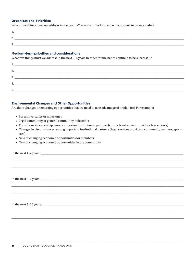# **Organizational Priorities**

What three things must we address in the next 1-2 years in order for the bar to continue to be successful?

| . .      |  |  |  |
|----------|--|--|--|
|          |  |  |  |
| <u>.</u> |  |  |  |
|          |  |  |  |
| .        |  |  |  |

#### **Medium-term priorities and considerations**

What five things must we address in the next 3-6 years in order for the bar to continue to be successful?

| $\mathbf{I}$               |  |  |  |
|----------------------------|--|--|--|
| C.                         |  |  |  |
| $\overline{\phantom{a}}$ . |  |  |  |
| 3.                         |  |  |  |
|                            |  |  |  |
| 4.                         |  |  |  |
| 5.                         |  |  |  |
|                            |  |  |  |

# **Environmental Changes and Other Opportunities**

Are there changes or emerging opportunities that we need to take advantage of or plan for? For example:

- Bar anniversaries or milestones
- Legal community or general community milestones
- Transitions in leadership among important institutional partners (courts, legal service providers, law schools)
- Changes in circumstances among important institutional partners (legal services providers, community partners, sponsors)
- New or changing economic opportunities for members
- New or changing economic opportunities in the community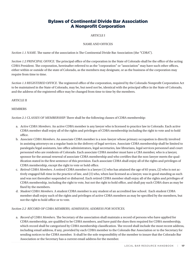# Bylaws of Continental Divide Bar Association A Nonprofit Corporation

# ARTICLE I

# NAME AND OFFICES

*Section 1.1 NAME.* The name of the association is The Continental Divide Bar Association (the "CDBA").

*Section 1.2 PRINCIPAL OFFICE.* The principal office of the corporation in the State of Colorado shall be the office of the acting CDBA President. The corporation, hereinafter referred to as the "corporation" or "association" may have such other offices, either within or outside of the state of Colorado, as the members may designate, or as the business of the corporation may require from time to time.

*Section 1.3 REGISTERED OFFICE.* The registered office of the corporation, required by the Colorado Nonprofit Corporation Act to be maintained in the State of Colorado, may be, but need not be, identical with the principal office in the State of Colorado, and the address of the registered office may be changed from time to time by the members.

# ARTICLE II

# MEMBERS

*Section 2.1 CLASSES OF MEMBERSHIP.* There shall be the following classes of CDBA membership:

- a. <sup>A</sup>*ctive CDBA Members.* An active CDBA member is any lawyer who is licensed to practice law in Colorado. Each active CDBA member shall enjoy all of the rights and privileges of CDBA membership including the right to vote and to hold office.
- b. <sup>A</sup>*ssociate CDBA Members*. An associate CDBA member is a non-lawyer whose primary occupation is directly involved in assisting attorneys on a regular basis in the delivery of legal services. Associate CDBA membership shall be limited to paralegals/legal assistants, law office administrators, legal secretaries, law librarians, legal services personnel and court personnel who are residents of Colorado. Each associate CDBA member must have a CBA member, who is a lawyer, sponsor for the annual renewal of associate CDBA membership and who certifies that the non-lawyer meets the qualification stated in the first sentence of this provision. Each associate CDBA shall enjoy all of the rights and privileges of CDBA membership, except the right to vote or hold office.
- c. <sup>R</sup>*etired CDBA Members.* A retired CDBA member is a lawyer (1) who has attained the age of 65 years, (2) who is not actively engaged full-time in the practice of law, and (3) who, when last licensed as a lawyer, was in good standing as such and was not thereafter suspended or disbarred. Each retired CDBA member shall enjoy all of the rights and privileges of CDBA membership, including the right to vote, but not the right to hold office, and shall pay such CDBA dues as may be fixed by the members.
- d. <sup>S</sup>*tudent CDBA Members.* A student CDBA member is any student of an accredited law school. Each student CDBA member shall enjoy such of the rights and privileges of active CDBA members as may be specified by the members, but not the right to hold office or to vote.

*Section 2.2 RECORD OF CDBA MEMBERS; ADMISSION; ADDRESS FOR NOTICES.*

a. <sup>R</sup>*ecord of CDBA Members.* The Secretary of the association shall maintain a record of persons who have applied for CDBA membership, are qualified to be CDBA members, and have paid the dues then required for CDBA membership, which record shall be categorized by CDBA membership classification. The record shall include the most recent address, including email address, if any, provided by each CDBA member to the Colorado Bar Association or to the Secretary for sending notices to the CDBA member. It shall be the sole responsibility of the member to insure that the Colorado Bar Association or the Secretary has a current email address for the member.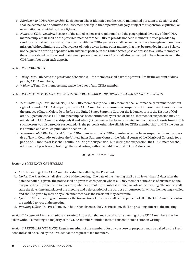- b. <sup>A</sup>*dmission to CDBA Membership.* Each person who is identified on the record maintained pursuant to Section 2.2(a) shall be deemed to be admitted to CDBA membership in the respective category, subject to suspension, expulsion, or termination as provided by these Bylaws.
- c. <sup>N</sup>*otices to CDBA Member.* Because of the added expense of regular mail and the geographical diversity of the CDBA membership, email shall be the preferred method for the CDBA to provide notice to members. Notice provided by sending an email to the email address on file with the CDBA Secretary shall be deemed to have been given upon transmission. Without limiting the effectiveness of notice given in any other manner that may be provided in these Bylaws, notice given in a writing deposited with sufficient postage in the United States post, addressed to a CDBA member at the address stated on the record maintained pursuant to Section 2.2(a) shall also be deemed to have been given to that CDBA member upon such deposit.

# *Section 2.3 CDBA DUES.*

- a. <sup>F</sup>*ixing Dues.* Subject to the provisions of Section 2.,1 the members shall have the power (1) to fix the amount of dues paid by CDBA members;
- b. <sup>W</sup>*aiver of Dues.* The members may waive the dues of any CDBA member.

# *Section 2.4 TERMINATION OR SUSPENSION OF CDBA MEMBERSHIP UPON DISBARMENT OR SUSPENSION.*

- a. <sup>T</sup>*ermination of CDBA Membership.* The CDBA membership of a CDBA member shall automatically terminate, without right of refund of CDBA dues paid, upon the CDBA member's disbarment or suspension for more than 12 months from the practice of law in Colorado or before the United States Supreme Court or the federal courts of the District of Colorado. A person whose CDBA membership has been terminated by reason of such disbarment or suspension may be reinstated to CDBA membership only if and when (1) the person has been reinstated to practice in all courts from which such person was disbarred or suspended, (2) the person is otherwise eligible for CDBA membership, and (3) the person is admitted and enrolled pursuant to Section 2.2.
- b. <sup>S</sup>*uspension of CDBA Membership.* The CDBA membership of a CDBA member who has been suspended from the practice of law in Colorado, or before the United States Supreme Court or the federal courts of the District of Colorado for a period of 12 months or less shall continue during the suspension, but, during the suspension, the CDBA member shall relinquish all privileges of holding office and voting, without a right of refund of CDBA dues paid.

# *ACTION BY MEMBERS*

# *Section 2.5 MEETINGS OF MEMBERS*

- a. <sup>C</sup>*all.* A meeting of the CDBA members shall be called by the President.
- b. <sup>N</sup>*otice.* The President shall give notice of the meeting. The date of the meeting shall be no fewer than 15 days after the date the notice is given. The notice shall be given to each person who is a CDBA member at the close of business on the day preceding the date the notice is given, whether or not the member is entitled to vote at the meeting. The notice shall state the date, time and place of the meeting and a description of the purpose or purposes for which the meeting is called and shall be given by mail or by such other means as the President may determine.
- c. Q*uorum.* At the meeting, a quorum for the transaction of business shall be five percent of all of the CDBA members who are entitled to vote at the meeting.
- d. <sup>P</sup>*residing Officer.* The President, or, in his or her absence, the Vice President, shall be presiding officer at the meeting.

*Section 2.6 Action of Members without a Meeting.* Any action that may be taken at a meeting of the CDBA members may be taken without a meeting if a majority of the CDBA members entitled to vote consent to such action in writing.

*Section 2.7 REGULAR MEETINGS.* Regular meetings of the members, for any purpose or purposes, may be called by the President and shall be called by the President at the request of ten members.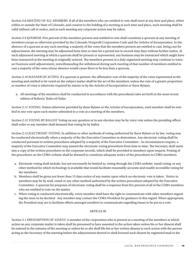*Section 2.8 MEETING OF ALL MEMBERS.* If all of the members who are entitled to vote shall meet at any time and place, either within or outside the State of Colorado, and consent to the holding of a meeting at such time and place, such meeting shall be valid without call or notice, and at such meeting any corporate action may be taken.

*Section 2.9 QUORUM.* Five percent of the members present and entitled to vote shall constitute a quorum at any meeting of members except as otherwise provided by the Colorado Nonprofit Corporation Code and the Articles of Incorporation. In the absence of a quorum at any such meeting, a majority of the votes that the members present are entitled to cast, being cast for adjournment, the meeting may be adjourned from time to time for a period not to exceed sixty days without further notice. At such adjourned meeting at which a quorum shall be present or represented, any business may be transacted which might have been transacted at the meeting as originally noticed. The members present at a duly organized meeting may continue to transact business until adjournment, notwithstanding the withdrawal during such meeting of that number of members entitled to cast a majority of the votes whose absence would cause there to be less than a quorum.

*Section 2.10 MANNER OF ACTING.* If a quorum is present, the affirmative vote of the majority of the votes represented at the meeting and entitled to be voted on the subject matter shall be the act of the members, unless the vote of a greater proportion or number of votes is otherwise required by statute or by the Articles of Incorporation or these Bylaws.

a. All meetings of the members shall be conducted in accordance with the procedural rules set forth in the most recent edition of Roberts' Rules of Order.

*Section 2.11 VOTING.* Unless otherwise provided by these Bylaws or the Articles of Incorporation, each member shall be entitled to one vote upon each matter submitted to a vote at a meeting of the members.

*Section 2.12 VOTING BY BALLOT.* Voting on any question or in any election may be by voice vote unless the presiding officer shall order or any member shall demand that voting be by ballot.

*Section 2.13 ELECTRONIC VOTING.* In addition to other methods of voting authorized by these Bylaws or by law, voting may be conducted electronically when a majority of the the Executive Committee so determines. Any electronic voting shall be conducted pursuant to written procedures adopted by a majority of the Executive Committee . As circumstances require, a majority of the Executive Committee may amend the electronic voting procedures from time to time. The Secretary shall maintain a copy of the written procedures in the corporate records, which shall be provided to members upon request. Posting of the procedures on the CDBA website shall be deemed to constitute adequate notice of the procedures to CDBA members.

- a. Electronic voting shall include, but not necessarily be limited to, voting through the CDBA website, email voting, or any other method for which technology is available that would facilitate reasonably accurate and readily accessible voting for the members.
- b. Members shall be given not fewer than 15 days notice of any matter upon which an electronic vote is taken. Notice to members may be by mail, email or any other method authorized by the written procedures adopted by the Executive Committee. A quorum for purposes of electronic voting shall be a response from five percent of all of the CDBA members who are entitled to vote on the matter.
- c. When voting is conducted electronically, every member shall have the right to communicate with other members regarding the issue to be decided. Any member may contact the CDBA President for guidance in this regard. When appropriate, the President may act to facilitate efforts amongst members to communicate regarding issues to be put to a vote.

# ARTICLE III

*Section 3.1 PRESUMPTION OF ASSENT.* A member of the corporation who is present at a meeting of the members at which action on any corporate matter is taken shall be presumed to have assented to the action taken unless his or her dissent shall be entered in the minutes of the meeting or unless he or she shall file his or her written dissent to such action with the person acting as the Secretary of the meeting before the adjournment thereof or shall forward such dissent by registered mail to the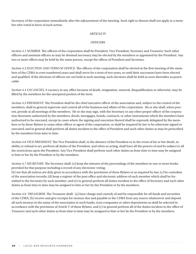Secretary of the corporation immediately after the adjournment of the meeting. Such right to dissent shall not apply to a member who voted in favor of such action.

# ARTICLE IV

# **OFFICERS**

*Section 4.1 NUMBER.* The officers of the corporation shall be President, Vice President, Secretary and Treasurer. Such other officers and assistant officers as may be deemed necessary may be elected by the members or appointed by the President. Any two or more offices may be held by the same person, except the offices of President and Secretary.

*Section 4.2 ELECTION AND TERM OF OFFICE.* The officers of the corporation shall be elected at the first meeting of the members of the CDBA in even numbered years and shall serve for a term of two years, or until their successors have been elected and qualified. If the elections of officers are not held at such meeting, such elections shall be held as soon thereafter as practicable.

*Section 4.4 VACANCIES.* A vacancy in any office because of death, resignation, removal, disqualification or otherwise, may be filled by the members for the unexpired portion of the term.

*Section 4.5 PRESIDENT.* The President shall be the chief executive officer of the association and, subject to the control of the members, shall in general supervise and control all of the business and affairs of the corporation. He or she shall, when present, preside at all meetings of the members. He or she may sign, with the Secretary or any other proper officer of the corporation thereunto authorized by the members, deeds, mortgages, bonds, contracts, or other instruments which the members have authorized to be executed, except in cases where the signing and execution thereof shall be expressly delegated by the members or by these Bylaws to some other officer or agent of the corporation, or shall be required by law to be otherwise signed or executed; and in general shall perform all duties incident to the office of President and such other duties as may be prescribed by the members from time to time.

*Section 4.6 VICE PRESIDENT.* The Vice President shall, in the absence of the President or in the event of his or her death, inability or refusal to act, perform all duties of the President, and when so acting, shall have all the powers of and be subject to all the restrictions upon the President. Any Vice President shall perform such other duties as from time to time may be assigned to him or her by the President or by the members.

*Section 4.7 SECRETARY.* The Secretary shall: (a) keep the minutes of the proceedings of the members in one or more books provided for that purpose including a record of any electronic voting;

(b) see that all notices are duly given in accordance with the provisions of these Bylaws or as required by law; (c) be custodian of the association records; (d) keep a register of the post office and electronic address of each member which shall be furnished to the Secretary by such member; and (e) in general perform all duties incident to the office of Secretary and such other duties as from time to time may be assigned to him or her by the President or by the members.

*Section 4.8 TREASURER.* The Treasurer shall: (a) have charge and custody of and be responsible for all funds and securities of the CDBA; (b) receive and give receipts for moneys due and payable to the CDBA from any source whatsoever and deposit all such moneys in the name of the association in such banks, trust companies or other depositories as shall be selected in accordance with the provisions of Article V of these Bylaws; and (c) in general perform all of the duties incident to the office of Treasurer and such other duties as from time to time may be assigned to him or her by the President or by the members.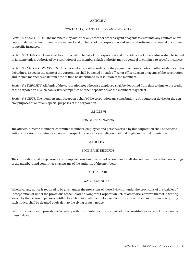#### **ARTICLE V**

# CONTRACTS, LOANS, CHECKS AND DEPOSITS

*Section 5.1 CONTRACTS.* The members may authorize any officer or officer's agent or agents to enter into any contract or execute and deliver an instrument in the name of and on behalf of the corporation and such authority may be general or confined to specific instances.

*Section 5.2 LOANS.* No loans shall be contracted on behalf of the corporation and no evidences of indebtedness shall be issued in its name unless authorized by a resolution of the members. Such authority may be general or confined to specific instances.

*Section 5.3 CHECKS, DRAFTS, ETC.* All checks, drafts or other orders for the payment of money, notes or other evidences of indebtedness issued in the name of the corporation shall be signed by such officer or officers, agent or agents of the corporation and in such manner as shall from time to time be determined by resolution of the members.

*Section 5.4 DEPOSITS.* All funds of the corporation not otherwise employed shall be deposited from time to time to the credit of the corporation in such banks, trust companies or other depositories as the members may select.

*Section 5.5 GIFTS.* The members may accept on behalf of the corporation any contribution, gift, bequest or devise for the general purposes of or for any special purposes of the corporation.

# ARTICLE VI

# NONDISCRIMINATION

The officers, director, members, committee members, employees and persons served by this corporation shall be selected entirely on a nondiscriminatory basis with respect to age, sex, race, religion, national origin and sexual orientation.

# ARTICLE VII

# BOOKS AND RECORDS

The corporation shall keep correct and complete books and records of account and shall also keep minutes of the proceedings of the members and committees having any of the authority of the members.

# ARTICLE VIII

# WAIVER OF NOTICE

Whenever any notice is required to be given under the provisions of these Bylaws or under the provisions of the Articles of Incorporation or under the provisions of the Colorado Nonprofit Corporation Act, or otherwise, a waiver thereof in writing, signed by the person or persons entitled to such notice, whether before or after the event or other circumstances requiring such notice, shall be deemed equivalent to the giving of such notice.

Failure of a member to provide the Secretary with the member's current email address constitutes a waiver of notice under these Bylaws.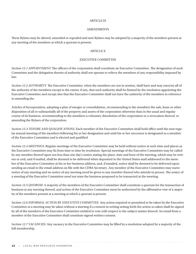#### ARTICLE IX

# **AMENDMENTS**

These Bylaws may be altered, amended or repealed and new Bylaws may be adopted by a majority of the members present at any meeting of the members at which a quorum is present.

# ARTICLE X

# EXECUTIVE COMMITTEE

*Section 12.1 APPOINTMENT.* The officers of the corporation shall constitute an Executive Committee. The designation of such Committee and the delegation thereto of authority shall not operate to relieve the members of any responsibility imposed by law.

*Section 12.2 AUTHORITY.* The Executive Committee, when the members are not in session, shall have and may exercise all of the authority of the members except to the extent, if any, that such authority shall be limited by the resolution appointing the Executive Committee and except also that the Executive Committee shall not have the authority of the members in reference to amending the

Articles of Incorporation, adopting a plan of merger or consolidation, recommending to the members the sale, lease or other disposition of all or substantially all of the property and assets of the corporation otherwise than in the usual and regular course of its business, recommending to the members a voluntary dissolution of the corporation or a revocation thereof, or amending the Bylaws of the corporation.

*Section 12.3 TENURE AND QUALIFICATIONS.* Each member of the Executive Committee shall hold office until the next regular annual meeting of the members following his or her designation and until his or her successor is designated as a member of the Executive Committee and is elected and qualified.

*Section 12.4 MEETINGS.* Regular meetings of the Executive Committee may be held without notice at such time and places as the Executive Committee may fix from time to time by resolution. Special meetings of the Executive Committee may be called by any member thereof upon not less than one day's notice stating the place, date and hour of the meeting, which may be written or oral, and if mailed, shall be deemed to be delivered when deposited in the United States mail addressed to the member of the Executive Committee at his or her business address, and, if emailed, notice shall be deemed to be delivered upon sending an email to the email address on file with the CDBA Secretary. Any member of the Executive Committee may waive notice of any meeting and no notice of any meeting need be given to any member thereof who attends in person. The notice of a meeting of the Executive Committee need not state the business proposed to be transacted at the meeting.

*Section 12.5 QUORUM.* A majority of the members of the Executive Committee shall constitute a quorum for the transaction of business at any meeting thereof, and action of the Executive Committee must be authorized by the affirmative vote of a majority of the members present at a meeting at which a quorum is present.

*Section 12.6 INFORMAL ACTION BY EXECUTIVE COMMITTEE.* Any action required or permitted to be taken by the Executive Committee at a meeting may be taken without a meeting if a consent in writing setting forth the action so taken shall be signed by all of the members of the Executive Committee entitled to vote with respect to the subject matter thereof. An email from a member of the Executive Committee shall constitute signed written consent.

*Section 12.7 VACANCIES.* Any vacancy in the Executive Committee may be filled by a resolution adopted by a majority of the full membership.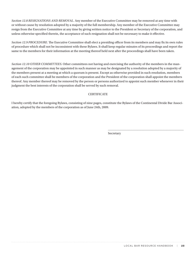*Section 12.8 RESIGNATIONS AND REMOVAL.* Any member of the Executive Committee may be removed at any time with or without cause by resolution adopted by a majority of the full membership. Any member of the Executive Committee may resign from the Executive Committee at any time by giving written notice to the President or Secretary of the corporation, and unless otherwise specified therein, the acceptance of such resignation shall not be necessary to make it effective.

*Section 12.9 PROCEDURE.* The Executive Committee shall elect a presiding officer from its members and may fix its own rules of procedure which shall not be inconsistent with these Bylaws. It shall keep regular minutes of its proceedings and report the same to the members for their information at the meeting thereof held next after the proceedings shall have been taken.

*Section 12.10 OTHER COMMITTEES.* Other committees not having and exercising the authority of the members in the management of the corporation may be appointed in such manner as may be designated by a resolution adopted by a majority of the members present at a meeting at which a quorum is present. Except as otherwise provided in such resolution, members of each such committee shall be members of the corporation and the President of the corporation shall appoint the members thereof. Any member thereof may be removed by the person or persons authorized to appoint such member whenever in their judgment the best interests of the corporation shall be served by such removal.

# **CERTIFICATE**

I hereby certify that the foregoing Bylaws, consisting of nine pages, constitute the Bylaws of the Continental Divide Bar Association, adopted by the members of the corporation as of June 24th, 2009.

Secretary

\_\_\_\_\_\_\_\_\_\_\_\_\_\_\_\_\_\_\_\_\_\_\_\_\_\_\_\_\_\_\_\_\_\_\_\_\_\_\_\_\_\_\_\_\_\_\_\_\_\_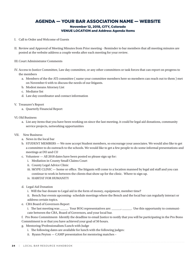# AGENDA — YOUR BAR ASSOCIATION NAME — WEBSITE November 12, 2018, CITY, Colorado

# VENUE LOCATION and Address Agenda Items

- I. Call to Order and Welcome of Guests
- II. Review and Approval of Meeting Minutes from Prior meeting Reminder to bar members that all meeting minutes are posted at the website address a couple weeks after each meeting for your review.
- III.Court Administrator Comments
- IV. Access to Justice Committee, Law day committee, or any other committees or task forces that can report on progress to the members
	- a. Members of the the ATJ committee ( name your committee members here so members can reach out to them ) met on November 6 with to discuss the needs of our litigants.
	- b. Modest means Attorney List
	- c. Mediator list
	- d. Law day coordinator and contact information
- V. Treasurer's Report
	- a. Quarterly Financial Report
- VI.Old Business
	- a. List any items that you have been working on since the last meeting, it could be legal aid donations, community service projects, networking opportunities
- VII. New Business:
	- a. News in the local bar
	- b. STUDENT MEMBERS We now accept Student members, so encourage your associates. We would also like to get a committee to do outreach to the schools. We would like to get a few people to do some informal presentations and meetings at DU and CU
	- c. Volunteer All 2018 dates have been posted so please sign up for:
		- i. Mediation in County Small Claims Court
		- ii. County Legal Advice Clinic
		- iii. SKYPE CLINIC home or office. The litigants will come to a location manned by legal aid staff and you can continue to work in between the clients that show up for the clinic. Where to sign up.
		- iv. HABITAT FOR HUMANITY
	- d. Legal Aid Donation
		- i. Will the bar donate to Legal aid in the form of money, equipment, member time?
		- ii. Bench/bar events upcoming- schedule meetings where the Bench and the local bar can regularly interact or address certain topics.
	- e. CBA Board of Governors Report
		- i. The last meeting was \_\_\_\_\_. Your BOG representatives are: \_\_\_\_\_\_, \_\_\_\_\_. Use this opportunity to communicate between the CBA, Board of Governors, and your local bar.
	- f. Pro Bono Commitment- Identify the deadline to email Justice to notify that you will be participating in the Pro Bono
	- Commitment is or that you have achieved your goal of 50 hours.
	- g. Mentoring/Professionalism/Lunch with Judge
		- i. The following dates are available for lunch with the following judges:
		- ii. Ryann Peyton CAMP presentation for mentoring matches –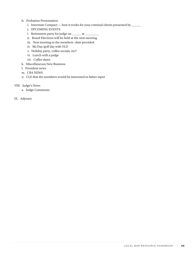- h. Probation Presentation
	- i. Interstate Compact how it works for your criminal clients presented by \_\_\_\_\_\_
	- j. UPCOMING EVENTS
	- i. Retirement party for judge on \_\_\_\_\_\_ at \_\_\_\_\_\_\_\_\_\_
	- ii. Board Elections will be held at the next meeting
	- iii. Next meeting to the members -date provided
	- iv. Ski Day/golf day with YLD
	- v. Holiday party, coffee socials, etc?
	- vi. Lunch with a judge
	- vii. Coffee dates
- k. Miscellaneous New Business
- l. President news
- m. CBA NEWS
- n. CLE that the members would be interested in father input
- VIII. Judge's News
	- a. Judge Comments
- IX. Adjourn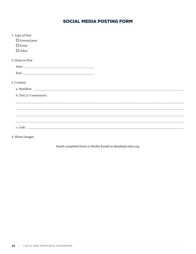# **SOCIAL MEDIA POSTING FORM**

| 1. Type of Post         |  |
|-------------------------|--|
| $\Box$ General post     |  |
| $\square$ Event         |  |
| $\Box$ Other            |  |
| 2. Dates to Post        |  |
|                         |  |
|                         |  |
| 3. Content              |  |
|                         |  |
| b. Text (2-3 sentences) |  |
|                         |  |
|                         |  |
|                         |  |
|                         |  |
| c. Link:                |  |
|                         |  |

4. Photo/images

Email completed form to Shelby Knafel at sknafel@cobar.org.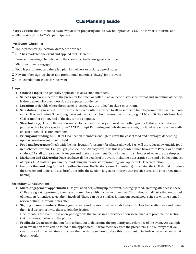# CLE Planning Guide

**Introduction:** This is intended as an overview for preparing one- to two-hour practical CLE. The format is informal and smaller in size (limit to 25–50 participants).

# **Pre-Event Checklist:**

- $\Box$  Topic, presenter(s), location, date & time are set
- $\square$  CBA has marketed the event and applied for CLE credit
- $\Box$  Pre-event meeting scheduled with the speaker(s) to discuss general outline
- $\square$  Micro-volunteers engaged
- $\Box$  Food is pre-ordered and there is a plan for delivery or pickup; case of water
- $\square$  New member sign-up sheets and promotional materials (shwag) for the event
- $\Box$  CLE accreditation sheets for the event

# **Steps:**

- **1. Choose a topic:** one generally applicable to all Section members.
- **2. Select a speaker:** meet with the presenter for lunch or coffee in advance to discuss the format and an outline of the topic the speaker will cover; describe the expected audience.
- **3. Location:** preferably where the speaker is located, i.e., the judge/speaker's courtroom.
- **4. Scheduling:** Try to schedule the event at least a month in advance to allow sufficient time to promote the event and obtain CLE accreditation. Scheduling the event over a lunch hour seems to work well, e.g., 11:00 – 1:00. An early breakfast CLE is another option. End of the day is not as popular.
- **5. Stakeholder(s):** One of the section goals it to increase diversity and work with other groups. Is this an event that can partner with a local or specialty bar? A YLD group? Partnering not only decreases costs, but it helps reach a wider audience of potential section members.
- **6. Pricing and funding:** \$15–30 for CBA Section members; enough to cover the cost of food and beverages depending upon where the event is being held.
- **7. Food and beverages:** Check with the host location/presenter for what is allowed. E.g., will the judge allow outside food in his/her courtroom? Can you get past security? An easy way to do this is preorder lunch boxes from Panera or a similar chain. CBA staff can arrange this for you and make the payment. Don't forget drinks – bottles of water are the simplest.
- **8. Marketing and CLE credit:** Once you have all the details of the event, including a descriptive title and a bullet point list of topics, CBA staff can prepare the marketing materials, start promoting, and apply for CLE accreditation.
- **9. Introduction and plug for the Litigation Section:** The Section Council member(s) organizing the CLE should introduce the speaker and topic, and also briefly describe the Section, its goal to improve that practice area, and encourage membership.

# **Secondary Considerations:**

- **1. Micro-engagement opportunities**: Do you need help setting up the event, picking up food, greeting attendees? These CLEs are a great opportunity to engage our members with micro- volunteerism. Think about small tasks that we can ask of members/attendees to get them involved. These can be as small as joining our social media sites or writing a small review of the CLE for our newsletter.
- **2. Signing up new members:** Bring signup sheets and promotional materials to the CLE. Talk to the attendees and make them feel welcome; invite them to join the Section.
- 3. Documenting the event: Take a few photographs that to use in a newsletter or on social media to promote the section. Get the names of who is in the photos.
- **4. Feedback:** Create an evaluation form to handout to determine the popularity and relevance of the event. An example of an evaluation form can be found in the Appendices. Ask for feedback from the presenters. Find out ways that we can improve for the next time and share them with the section. Update this document to include what works and what doesn't work.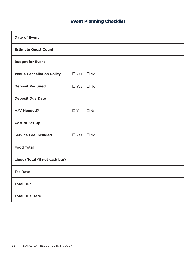# Event Planning Checklist

| <b>Date of Event</b>             |                      |
|----------------------------------|----------------------|
| <b>Estimate Guest Count</b>      |                      |
| <b>Budget for Event</b>          |                      |
| <b>Venue Cancellation Policy</b> | $\Box$ Yes $\Box$ No |
| <b>Deposit Required</b>          | $\Box$ Yes $\Box$ No |
| <b>Deposit Due Date</b>          |                      |
| A/V Needed?                      | $\Box$ Yes $\Box$ No |
| <b>Cost of Set-up</b>            |                      |
| <b>Service Fee Included</b>      | $\Box$ Yes $\Box$ No |
| <b>Food Total</b>                |                      |
| Liquor Total (if not cash bar)   |                      |
| <b>Tax Rate</b>                  |                      |
| <b>Total Due</b>                 |                      |
| <b>Total Due Date</b>            |                      |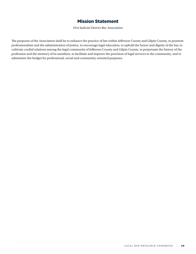# Mission Statement

*First Judicial District Bar Association*

The purposes of the Association shall be to enhance the practice of law within Jefferson County and Gilpin County, to promote professionalism and the administration of justice, to encourage legal education, to uphold the honor and dignity of the bar, to cultivate cordial relations among the legal community of Jefferson County and Gilpin County, to perpetuate the history of the profession and the memory of its members, to facilitate and improve the provision of legal services to the community, and to administer the budget for professional, social and community-oriented purposes.